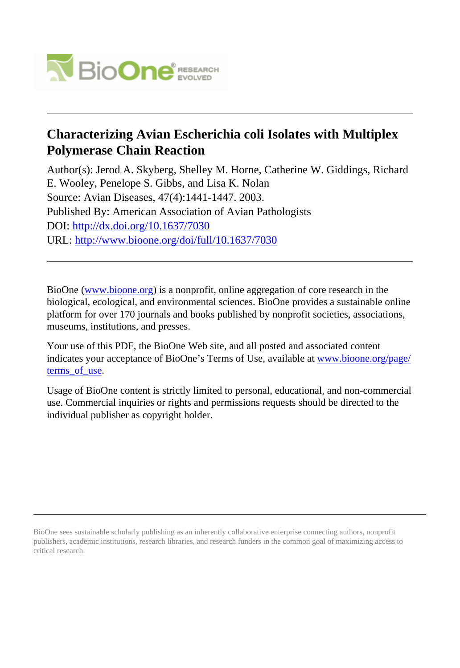

# **Characterizing Avian Escherichia coli Isolates with Multiplex Polymerase Chain Reaction**

Author(s): Jerod A. Skyberg, Shelley M. Horne, Catherine W. Giddings, Richard E. Wooley, Penelope S. Gibbs, and Lisa K. Nolan Source: Avian Diseases, 47(4):1441-1447. 2003. Published By: American Association of Avian Pathologists DOI:<http://dx.doi.org/10.1637/7030> URL: <http://www.bioone.org/doi/full/10.1637/7030>

BioOne [\(www.bioone.org\)](http://www.bioone.org) is a nonprofit, online aggregation of core research in the biological, ecological, and environmental sciences. BioOne provides a sustainable online platform for over 170 journals and books published by nonprofit societies, associations, museums, institutions, and presses.

Your use of this PDF, the BioOne Web site, and all posted and associated content indicates your acceptance of BioOne's Terms of Use, available at [www.bioone.org/page/](http://www.bioone.org/page/terms_of_use) [terms\\_of\\_use.](http://www.bioone.org/page/terms_of_use)

Usage of BioOne content is strictly limited to personal, educational, and non-commercial use. Commercial inquiries or rights and permissions requests should be directed to the individual publisher as copyright holder.

BioOne sees sustainable scholarly publishing as an inherently collaborative enterprise connecting authors, nonprofit publishers, academic institutions, research libraries, and research funders in the common goal of maximizing access to critical research.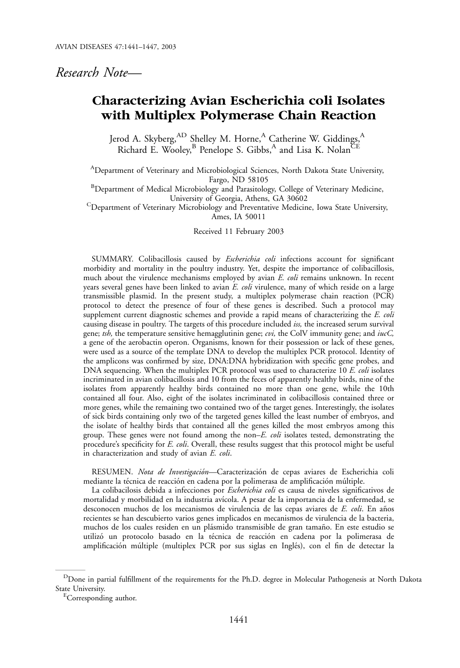### Research Note—

## Characterizing Avian Escherichia coli Isolates with Multiplex Polymerase Chain Reaction

Jerod A. Skyberg,<sup>AD</sup> Shelley M. Horne,<sup>A</sup> Catherine W. Giddings,<sup>A</sup> Richard E. Wooley,<sup>B</sup> Penelope S. Gibbs,<sup>A</sup> and Lisa K. Nolan<sup>CE</sup>

<sup>A</sup>Department of Veterinary and Microbiological Sciences, North Dakota State University,

Fargo, ND 58105<br><sup>B</sup>Department of Medical Microbiology and Parasitology, College of Veterinary Medicine, University of Georgia, Athens, GA 30602<br><sup>C</sup>Department of Veterinary Microbiology and Preventative Medicine, Iowa State University,

Ames, IA 50011

Received 11 February 2003

SUMMARY. Colibacillosis caused by Escherichia coli infections account for significant morbidity and mortality in the poultry industry. Yet, despite the importance of colibacillosis, much about the virulence mechanisms employed by avian  $E$ , coli remains unknown. In recent years several genes have been linked to avian *E. coli* virulence, many of which reside on a large transmissible plasmid. In the present study, a multiplex polymerase chain reaction (PCR) protocol to detect the presence of four of these genes is described. Such a protocol may supplement current diagnostic schemes and provide a rapid means of characterizing the E. coli causing disease in poultry. The targets of this procedure included iss, the increased serum survival gene; tsh, the temperature sensitive hemagglutinin gene; *cvi*, the ColV immunity gene; and *iucC*, a gene of the aerobactin operon. Organisms, known for their possession or lack of these genes, were used as a source of the template DNA to develop the multiplex PCR protocol. Identity of the amplicons was confirmed by size, DNA:DNA hybridization with specific gene probes, and DNA sequencing. When the multiplex PCR protocol was used to characterize 10 E. coli isolates incriminated in avian colibacillosis and 10 from the feces of apparently healthy birds, nine of the isolates from apparently healthy birds contained no more than one gene, while the 10th contained all four. Also, eight of the isolates incriminated in colibacillosis contained three or more genes, while the remaining two contained two of the target genes. Interestingly, the isolates of sick birds containing only two of the targeted genes killed the least number of embryos, and the isolate of healthy birds that contained all the genes killed the most embryos among this group. These genes were not found among the non–E. coli isolates tested, demonstrating the procedure's specificity for *E. coli*. Overall, these results suggest that this protocol might be useful in characterization and study of avian E. coli.

RESUMEN. Nota de Investigación-Caracterización de cepas aviares de Escherichia coli mediante la técnica de reacción en cadena por la polimerasa de amplificación múltiple.

La colibacilosis debida a infecciones por Escherichia coli es causa de niveles significativos de mortalidad y morbilidad en la industria avícola. A pesar de la importancia de la enfermedad, se desconocen muchos de los mecanismos de virulencia de las cepas aviares de E. coli. En años recientes se han descubierto varios genes implicados en mecanismos de virulencia de la bacteria, muchos de los cuales residen en un plásmido transmisible de gran tamaño. En este estudio se utilizó un protocolo basado en la técnica de reacción en cadena por la polimerasa de amplificación múltiple (multiplex PCR por sus siglas en Inglés), con el fin de detectar la

<sup>&</sup>lt;sup>D</sup>Done in partial fulfillment of the requirements for the Ph.D. degree in Molecular Pathogenesis at North Dakota State University.

 $E$ Corresponding author.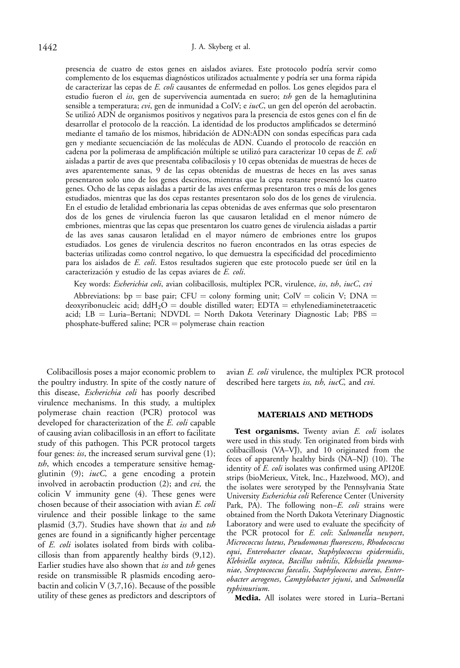#### 1442 J. A. Skyberg et al.

presencia de cuatro de estos genes en aislados aviares. Este protocolo podrı´a servir como complemento de los esquemas diagnósticos utilizados actualmente y podría ser una forma rápida de caracterizar las cepas de E. coli causantes de enfermedad en pollos. Los genes elegidos para el estudio fueron el iss, gen de supervivencia aumentada en suero; tsh gen de la hemaglutinina sensible a temperatura; *cvi*, gen de inmunidad a CoIV; e *iucC*, un gen del operón del aerobactin. Se utilizó ADN de organismos positivos y negativos para la presencia de estos genes con el fin de desarrollar el protocolo de la reacción. La identidad de los productos amplificados se determinó mediante el tamaño de los mismos, hibridación de ADN:ADN con sondas específicas para cada gen y mediante secuenciación de las moléculas de ADN. Cuando el protocolo de reacción en cadena por la polimerasa de amplificación múltiple se utilizó para caracterizar 10 cepas de E. coli aisladas a partir de aves que presentaba colibacilosis y 10 cepas obtenidas de muestras de heces de aves aparentemente sanas, 9 de las cepas obtenidas de muestras de heces en las aves sanas presentaron solo uno de los genes descritos, mientras que la cepa restante presentó los cuatro genes. Ocho de las cepas aisladas a partir de las aves enfermas presentaron tres o más de los genes estudiados, mientras que las dos cepas restantes presentaron solo dos de los genes de virulencia. En el estudio de letalidad embrionaria las cepas obtenidas de aves enfermas que solo presentaron dos de los genes de virulencia fueron las que causaron letalidad en el menor número de embriones, mientras que las cepas que presentaron los cuatro genes de virulencia aisladas a partir de las aves sanas causaron letalidad en el mayor número de embriones entre los grupos estudiados. Los genes de virulencia descritos no fueron encontrados en las otras especies de bacterias utilizadas como control negativo, lo que demuestra la especificidad del procedimiento para los aislados de E. coli. Estos resultados sugieren que este protocolo puede ser útil en la caracterización y estudio de las cepas aviares de E. coli.

Key words: *Escherichia coli*, avian colibacillosis, multiplex PCR, virulence, iss, tsh, iucC, cvi

Abbreviations: bp = base pair; CFU = colony forming unit; ColV = colicin V; DNA = deoxyribonucleic acid;  $ddH_2O =$  double distilled water; EDTA = ethylenediaminetetraacetic acid; LB = Luria–Bertani; NDVDL = North Dakota Veterinary Diagnostic Lab; PBS =  $phosphate$ -buffered saline;  $PCR = polymerase chain reaction$ 

Colibacillosis poses a major economic problem to the poultry industry. In spite of the costly nature of this disease, Escherichia coli has poorly described virulence mechanisms. In this study, a multiplex polymerase chain reaction (PCR) protocol was developed for characterization of the E. coli capable of causing avian colibacillosis in an effort to facilitate study of this pathogen. This PCR protocol targets four genes: iss, the increased serum survival gene (1); tsh, which encodes a temperature sensitive hemagglutinin  $(9)$ ; *iucC*, a gene encoding a protein involved in aerobactin production  $(2)$ ; and  $cvi$ , the colicin V immunity gene (4). These genes were chosen because of their association with avian E. coli virulence and their possible linkage to the same plasmid  $(3,7)$ . Studies have shown that iss and tsh genes are found in a significantly higher percentage of E. coli isolates isolated from birds with colibacillosis than from apparently healthy birds (9,12). Earlier studies have also shown that *iss* and *tsh* genes reside on transmissible R plasmids encoding aerobactin and colicin V (3,7,16). Because of the possible utility of these genes as predictors and descriptors of avian E. coli virulence, the multiplex PCR protocol described here targets iss, tsh, iucC, and cvi.

#### MATERIALS AND METHODS

Test organisms. Twenty avian E. coli isolates were used in this study. Ten originated from birds with colibacillosis (VA–VJ), and 10 originated from the feces of apparently healthy birds (NA–NJ) (10). The identity of E. coli isolates was confirmed using API20E strips (bioMerieux, Vitek, Inc., Hazelwood, MO), and the isolates were serotyped by the Pennsylvania State University Escherichia coli Reference Center (University Park, PA). The following non-E. coli strains were obtained from the North Dakota Veterinary Diagnostic Laboratory and were used to evaluate the specificity of the PCR protocol for E. coli: Salmonella newport, Micrococcus luteus, Pseudomonas fluorescens, Rhodococcus equi, Enterobacter cloacae, Staphylococcus epidermidis, Klebsiella oxytoca, Bacillus subtilis, Klebsiella pneumoniae, Streptococcus faecalis, Staphylococcus aureus, Enterobacter aerogenes, Campylobacter jejuni, and Salmonella typhimurium.

Media. All isolates were stored in Luria–Bertani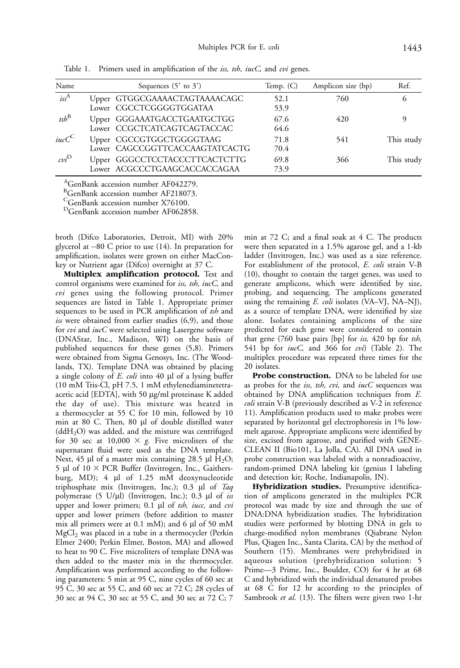| Name             | Sequences $(5'$ to $3')$                                      | Temp. $(C)$  | Amplicon size (bp) | Ref.       |  |
|------------------|---------------------------------------------------------------|--------------|--------------------|------------|--|
| i s <sup>A</sup> | Upper GTGGCGAAAACTAGTAAAACAGC<br>Lower CGCCTCGGGGTGGATAA      | 52.1<br>53.9 | 760                |            |  |
| $tsh^{\rm B}$    | Upper GGGAAATGACCTGAATGCTGG<br>Lower CCGCTCATCAGTCAGTACCAC    | 67.6<br>64.6 | 420                |            |  |
| incC             | Upper CGCCGTGGCTGGGGTAAG<br>Lower CAGCCGGTTCACCAAGTATCACTG    | 71.8<br>70.4 | 541                | This study |  |
| $cv^{\text{D}}$  | Upper GGGCCTCCTACCCTTCACTCTTG<br>Lower ACGCCCTGAAGCACCACCAGAA | 69.8<br>73.9 | 366                | This study |  |

Table 1. Primers used in amplification of the iss, tsh, iucC, and cvi genes.

<sup>A</sup>GenBank accession number AF042279.

BGenBank accession number AF218073.

<sup>C</sup>GenBank accession number X76100.

<sup>D</sup>GenBank accession number AF062858.

broth (Difco Laboratories, Detroit, MI) with 20% glycerol at  $-80$  C prior to use (14). In preparation for amplification, isolates were grown on either MacConkey or Nutrient agar (Difco) overnight at 37 C.

Multiplex amplification protocol. Test and control organisms were examined for iss, tsh, iucC, and cvi genes using the following protocol. Primer sequences are listed in Table 1. Appropriate primer sequences to be used in PCR amplification of tsh and iss were obtained from earlier studies (6,9), and those for cvi and iucC were selected using Lasergene software (DNAStar, Inc., Madison, WI) on the basis of published sequences for these genes (5,8). Primers were obtained from Sigma Genosys, Inc. (The Woodlands, TX). Template DNA was obtained by placing a single colony of  $E$ . *coli* into 40  $\mu$ l of a lysing buffer (10 mM Tris-Cl, pH 7.5, 1 mM ethylenediaminetetraacetic acid [EDTA], with 50 µg/ml proteinase K added the day of use). This mixture was heated in a thermocycler at 55 C for 10 min, followed by 10 min at 80 C. Then, 80 µl of double distilled water  $(ddH<sub>2</sub>O)$  was added, and the mixture was centrifuged for 30 sec at 10,000  $\times$  g. Five microliters of the supernatant fluid were used as the DNA template. Next, 45 µl of a master mix containing 28.5 µl  $H_2O$ ; 5 µl of  $10 \times PCR$  Buffer (Invitrogen, Inc., Gaithersburg, MD); 4 µl of 1.25 mM deoxynucleotide triphosphate mix (Invitrogen, Inc.); 0.3  $\mu$ l of *Taq* polymerase (5 U/µl) (Invitrogen, Inc.); 0.3 µl of iss upper and lower primers;  $0.1$  µl of tsh, iucc, and cvi upper and lower primers (before addition to master mix all primers were at  $0.1$  mM); and 6  $\mu$ l of 50 mM  $MgCl<sub>2</sub>$  was placed in a tube in a thermocycler (Perkin Elmer 2400; Perkin Elmer, Boston, MA) and allowed to heat to 90 C. Five microliters of template DNA was then added to the master mix in the thermocycler. Amplification was performed according to the following parameters: 5 min at 95 C, nine cycles of 60 sec at 95 C, 30 sec at 55 C, and 60 sec at 72 C; 28 cycles of 30 sec at 94 C, 30 sec at 55 C, and 30 sec at 72 C; 7

min at 72 C; and a final soak at 4 C. The products were then separated in a 1.5% agarose gel, and a 1-kb ladder (Invitrogen, Inc.) was used as a size reference. For establishment of the protocol, E. coli strain V-B (10), thought to contain the target genes, was used to generate amplicons, which were identified by size, probing, and sequencing. The amplicons generated using the remaining  $E.$  coli isolates (VA–VJ, NA–NJ), as a source of template DNA, were identified by size alone. Isolates containing amplicons of the size predicted for each gene were considered to contain that gene (760 base pairs [bp] for iss, 420 bp for tsh, 541 bp for iucC, and 366 for cvi) (Table 2). The multiplex procedure was repeated three times for the 20 isolates.

**Probe construction.** DNA to be labeled for use as probes for the *iss*,  $tsh$ ,  $cvi$ , and  $iucC$  sequences was obtained by DNA amplification techniques from E. coli strain V-B (previously described as V-2 in reference 11). Amplification products used to make probes were separated by horizontal gel electrophoresis in 1% lowmelt agarose. Appropriate amplicons were identified by size, excised from agarose, and purified with GENE-CLEAN II (Bio101, La Jolla, CA). All DNA used in probe construction was labeled with a nonradioactive, random-primed DNA labeling kit (genius I labeling and detection kit; Roche, Indianapolis, IN).

Hybridization studies. Presumptive identification of amplicons generated in the multiplex PCR protocol was made by size and through the use of DNA:DNA hybridization studies. The hybridization studies were performed by blotting DNA in gels to charge-modified nylon membranes (Qiabrane Nylon Plus, Qiagen Inc., Santa Clarita, CA) by the method of Southern (15). Membranes were prehybridized in aqueous solution (prehybridization solution: 5 Prime—3 Prime, Inc., Boulder, CO) for 4 hr at 68 C and hybridized with the individual denatured probes at 68 C for 12 hr according to the principles of Sambrook et al. (13). The filters were given two 1-hr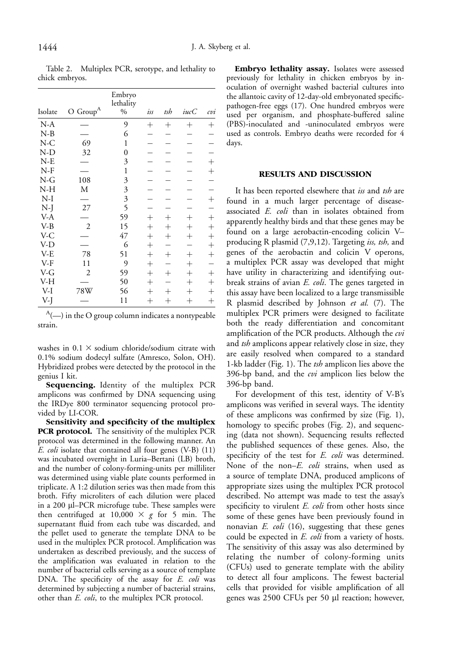Table 2. Multiplex PCR, serotype, and lethality to chick embryos.

|         |                     | Embryo<br>lethality |                    |        |                    |                    |
|---------|---------------------|---------------------|--------------------|--------|--------------------|--------------------|
| Isolate | $O \text{ Group}^A$ | $\%$                | iss                | tsh    | iucC               | cvi                |
| $N-A$   |                     | 9                   | $^{+}$             | $^{+}$ | $\hspace{0.1mm} +$ | $^+$               |
| $N-B$   |                     | 6                   |                    |        |                    |                    |
| N-C     | 69                  | $\mathbf{1}$        |                    |        |                    |                    |
| $N-D$   | 32                  | $\overline{0}$      |                    |        |                    |                    |
| $N-E$   |                     | 3                   |                    |        |                    | $^{+}$             |
| $N-F$   |                     | $\mathbf{1}$        |                    |        |                    | $^+$               |
| $N-G$   | 108                 | 3                   |                    |        |                    |                    |
| $N-H$   | М                   | 3                   |                    |        |                    |                    |
| $N-I$   |                     | 3                   |                    |        |                    | $^{+}$             |
| N-J     | 27                  | 5                   |                    |        |                    |                    |
| $V-A$   |                     | 59                  | $^{+}$             | $^{+}$ | $^{+}$             | $^{+}$             |
| $V-B$   | $\overline{2}$      | 15                  | $^{+}$             | $^{+}$ | $^{+}$             | $^{+}$             |
| V-C     |                     | 47                  | $^{+}$             | $^+$   | $^+$               | $^{+}$             |
| V-D     |                     | 6                   | $^{+}$             |        |                    | $^{+}$             |
| $V-E$   | 78                  | 51                  | $^{+}$             | $^+$   | $^{+}$             | $\hspace{0.1mm} +$ |
| $V-F$   | 11                  | 9                   | $^{+}$             |        | $^{+}$             |                    |
| V-G     | $\overline{2}$      | 59                  | $^{+}$             | $^+$   | $^{+}$             | $^{+}$             |
| V-H     |                     | 50                  | $\hspace{0.1mm} +$ |        | $^+$               | $^+$               |
| V-I     | 78W                 | 56                  | $^{+}$             | $^+$   | $^+$               | $^+$               |
| V-J     |                     | 11                  | $\hspace{0.1mm} +$ | $^+$   | $^+$               | $^+$               |

 $A^A$ ( —) in the O group column indicates a nontypeable strain.

washes in  $0.1 \times$  sodium chloride/sodium citrate with 0.1% sodium dodecyl sulfate (Amresco, Solon, OH). Hybridized probes were detected by the protocol in the genius I kit.

Sequencing. Identity of the multiplex PCR amplicons was confirmed by DNA sequencing using the IRDye 800 terminator sequencing protocol provided by LI-COR.

Sensitivity and specificity of the multiplex **PCR protocol.** The sensitivity of the multiplex PCR protocol was determined in the following manner. An E. coli isolate that contained all four genes (V-B) (11) was incubated overnight in Luria–Bertani (LB) broth, and the number of colony-forming-units per milliliter was determined using viable plate counts performed in triplicate. A 1:2 dilution series was then made from this broth. Fifty microliters of each dilution were placed in a 200 µl–PCR microfuge tube. These samples were then centrifuged at 10,000  $\times$  g for 5 min. The supernatant fluid from each tube was discarded, and the pellet used to generate the template DNA to be used in the multiplex PCR protocol. Amplification was undertaken as described previously, and the success of the amplification was evaluated in relation to the number of bacterial cells serving as a source of template DNA. The specificity of the assay for E. coli was determined by subjecting a number of bacterial strains, other than *E. coli*, to the multiplex PCR protocol.

Embryo lethality assay. Isolates were assessed previously for lethality in chicken embryos by inoculation of overnight washed bacterial cultures into the allantoic cavity of 12-day-old embryonated specificpathogen-free eggs (17). One hundred embryos were used per organism, and phosphate-buffered saline (PBS)-inoculated and -uninoculated embryos were used as controls. Embryo deaths were recorded for 4 days.

### RESULTS AND DISCUSSION

It has been reported elsewhere that iss and tsh are found in a much larger percentage of diseaseassociated E. coli than in isolates obtained from apparently healthy birds and that these genes may be found on a large aerobactin-encoding colicin V– producing R plasmid (7,9,12). Targeting iss, tsh, and genes of the aerobactin and colicin V operons, a multiplex PCR assay was developed that might have utility in characterizing and identifying outbreak strains of avian E. coli. The genes targeted in this assay have been localized to a large transmissible R plasmid described by Johnson et al. (7). The multiplex PCR primers were designed to facilitate both the ready differentiation and concomitant amplification of the PCR products. Although the cvi and tsh amplicons appear relatively close in size, they are easily resolved when compared to a standard 1-kb ladder (Fig. 1). The tsh amplicon lies above the 396-bp band, and the *cvi* amplicon lies below the 396-bp band.

For development of this test, identity of V-B's amplicons was verified in several ways. The identity of these amplicons was confirmed by size (Fig. 1), homology to specific probes (Fig. 2), and sequencing (data not shown). Sequencing results reflected the published sequences of these genes. Also, the specificity of the test for E. coli was determined. None of the non–E. coli strains, when used as a source of template DNA, produced amplicons of appropriate sizes using the multiplex PCR protocol described. No attempt was made to test the assay's specificity to virulent E. coli from other hosts since some of these genes have been previously found in nonavian E. coli (16), suggesting that these genes could be expected in E. coli from a variety of hosts. The sensitivity of this assay was also determined by relating the number of colony-forming units (CFUs) used to generate template with the ability to detect all four amplicons. The fewest bacterial cells that provided for visible amplification of all genes was 2500 CFUs per 50 µl reaction; however,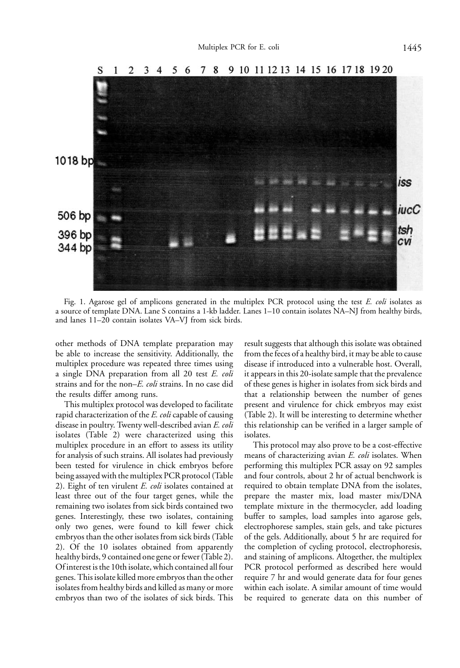

Fig. 1. Agarose gel of amplicons generated in the multiplex PCR protocol using the test E. coli isolates as a source of template DNA. Lane S contains a 1-kb ladder. Lanes 1–10 contain isolates NA–NJ from healthy birds, and lanes 11–20 contain isolates VA–VJ from sick birds.

other methods of DNA template preparation may be able to increase the sensitivity. Additionally, the multiplex procedure was repeated three times using a single DNA preparation from all 20 test E. coli strains and for the non–E. coli strains. In no case did the results differ among runs.

This multiplex protocol was developed to facilitate rapid characterization of the  $E.$  coli capable of causing disease in poultry. Twenty well-described avian E. coli isolates (Table 2) were characterized using this multiplex procedure in an effort to assess its utility for analysis of such strains. All isolates had previously been tested for virulence in chick embryos before being assayed with the multiplex PCR protocol (Table 2). Eight of ten virulent E. coli isolates contained at least three out of the four target genes, while the remaining two isolates from sick birds contained two genes. Interestingly, these two isolates, containing only two genes, were found to kill fewer chick embryos than the other isolates from sick birds (Table 2). Of the 10 isolates obtained from apparently healthy birds, 9 contained one gene or fewer (Table 2). Of interest is the 10th isolate, which contained all four genes. This isolate killed more embryos than the other isolates from healthy birds and killed as many or more embryos than two of the isolates of sick birds. This result suggests that although this isolate was obtained from the feces of a healthy bird, it may be able to cause disease if introduced into a vulnerable host. Overall, it appears in this 20-isolate sample that the prevalence of these genes is higher in isolates from sick birds and that a relationship between the number of genes present and virulence for chick embryos may exist (Table 2). It will be interesting to determine whether this relationship can be verified in a larger sample of isolates.

This protocol may also prove to be a cost-effective means of characterizing avian E. coli isolates. When performing this multiplex PCR assay on 92 samples and four controls, about 2 hr of actual benchwork is required to obtain template DNA from the isolates, prepare the master mix, load master mix/DNA template mixture in the thermocycler, add loading buffer to samples, load samples into agarose gels, electrophorese samples, stain gels, and take pictures of the gels. Additionally, about 5 hr are required for the completion of cycling protocol, electrophoresis, and staining of amplicons. Altogether, the multiplex PCR protocol performed as described here would require 7 hr and would generate data for four genes within each isolate. A similar amount of time would be required to generate data on this number of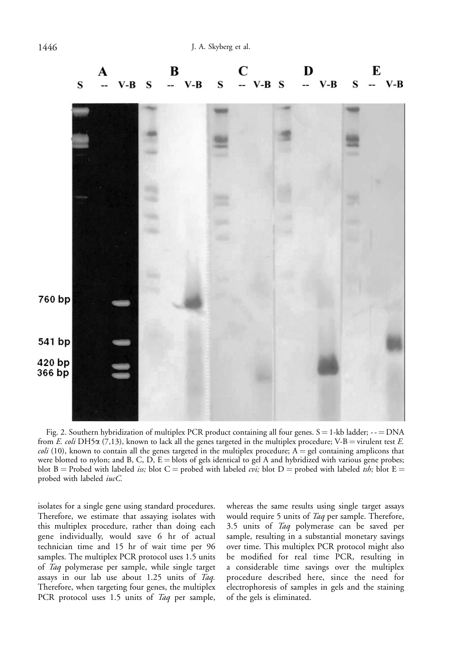

Fig. 2. Southern hybridization of multiplex PCR product containing all four genes.  $S = 1$ -kb ladder;  $-$  = DNA from E. coli DH5 $\alpha$  (7,13), known to lack all the genes targeted in the multiplex procedure; V-B = virulent test E. *coli* (10), known to contain all the genes targeted in the multiplex procedure;  $A = gel$  containing amplicons that were blotted to nylon; and B, C, D,  $E =$  blots of gels identical to gel A and hybridized with various gene probes; blot B = Probed with labeled iss; blot C = probed with labeled *cvi*; blot D = probed with labeled tsh; blot E = probed with labeled iucC.

isolates for a single gene using standard procedures. Therefore, we estimate that assaying isolates with this multiplex procedure, rather than doing each gene individually, would save 6 hr of actual technician time and 15 hr of wait time per 96 samples. The multiplex PCR protocol uses 1.5 units of Taq polymerase per sample, while single target assays in our lab use about 1.25 units of Taq. Therefore, when targeting four genes, the multiplex PCR protocol uses 1.5 units of Taq per sample, whereas the same results using single target assays would require 5 units of Taq per sample. Therefore, 3.5 units of Taq polymerase can be saved per sample, resulting in a substantial monetary savings over time. This multiplex PCR protocol might also be modified for real time PCR, resulting in a considerable time savings over the multiplex procedure described here, since the need for electrophoresis of samples in gels and the staining of the gels is eliminated.